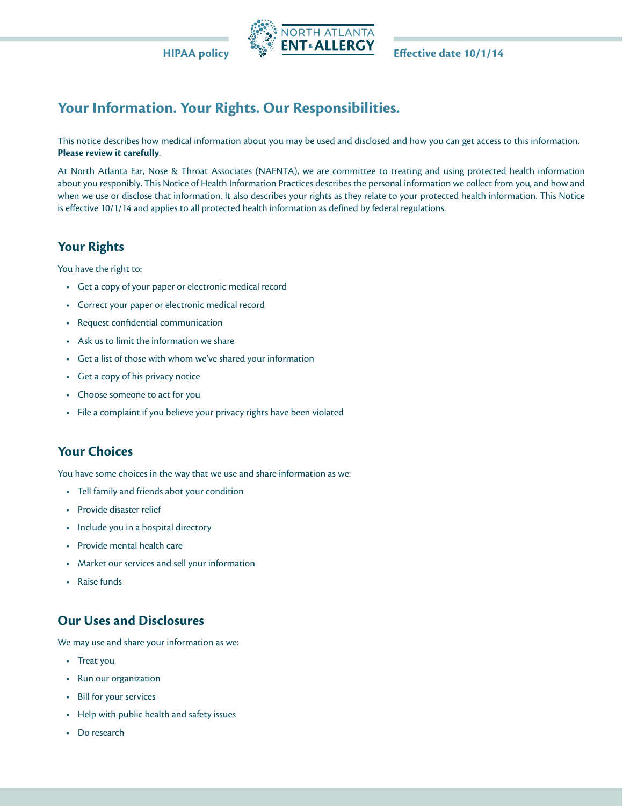

# **Your Information. Your Rights. Our Responsibilities.**

This notice describes how medical information about you may be used and disclosed and how you can get access to this information. **Please review it carefully**.

At North Atlanta Ear, Nose & Throat Associates (NAENTA), we are committee to treating and using protected health information about you responibly. This Notice of Health Information Practices describes the personal information we collect from you, and how and when we use or disclose that information. It also describes your rights as they relate to your protected health information. This Notice is effective 10/1/14 and applies to all protected health information as defined by federal regulations.

## **Your Rights**

You have the right to:

- Get a copy of your paper or electronic medical record
- Correct your paper or electronic medical record
- Request confidential communication
- Ask us to limit the information we share
- Get a list of those with whom we've shared your information
- Get a copy of his privacy notice
- Choose someone to act for you
- File a complaint if you believe your privacy rights have been violated

## **Your Choices**

You have some choices in the way that we use and share information as we:

- Tell family and friends abot your condition
- Provide disaster relief
- Include you in a hospital directory
- Provide mental health care
- Market our services and sell your information
- Raise funds

## **Our Uses and Disclosures**

We may use and share your information as we:

- Treat you
- Run our organization
- Bill for your services
- Help with public health and safety issues
- Do research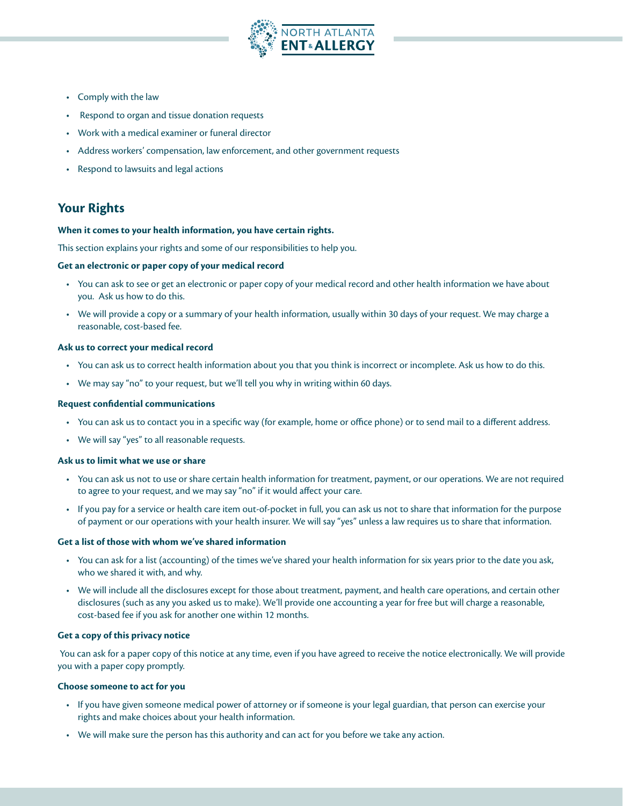

- Comply with the law
- Respond to organ and tissue donation requests
- Work with a medical examiner or funeral director
- Address workers' compensation, law enforcement, and other government requests
- Respond to lawsuits and legal actions

## **Your Rights**

#### **When it comes to your health information, you have certain rights.**

This section explains your rights and some of our responsibilities to help you.

#### **Get an electronic or paper copy of your medical record**

- You can ask to see or get an electronic or paper copy of your medical record and other health information we have about you. Ask us how to do this.
- We will provide a copy or a summary of your health information, usually within 30 days of your request. We may charge a reasonable, cost‐based fee.

### **Ask us to correct your medical record**

- You can ask us to correct health information about you that you think is incorrect or incomplete. Ask us how to do this.
- We may say "no" to your request, but we'll tell you why in writing within 60 days.

### **Request confidential communications**

- You can ask us to contact you in a specific way (for example, home or office phone) or to send mail to a different address.
- We will say "yes" to all reasonable requests.

### **Ask us to limit what we use or share**

- You can ask us not to use or share certain health information for treatment, payment, or our operations. We are not required to agree to your request, and we may say "no" if it would affect your care.
- If you pay for a service or health care item out‐of‐pocket in full, you can ask us not to share that information for the purpose of payment or our operations with your health insurer. We will say "yes" unless a law requires us to share that information.

### **Get a list of those with whom we've shared information**

- You can ask for a list (accounting) of the times we've shared your health information for six years prior to the date you ask, who we shared it with, and why.
- We will include all the disclosures except for those about treatment, payment, and health care operations, and certain other disclosures (such as any you asked us to make). We'll provide one accounting a year for free but will charge a reasonable, cost-based fee if you ask for another one within 12 months.

### **Get a copy of this privacy notice**

 You can ask for a paper copy of this notice at any time, even if you have agreed to receive the notice electronically. We will provide you with a paper copy promptly.

#### **Choose someone to act for you**

- If you have given someone medical power of attorney or if someone is your legal guardian, that person can exercise your rights and make choices about your health information.
- We will make sure the person has this authority and can act for you before we take any action.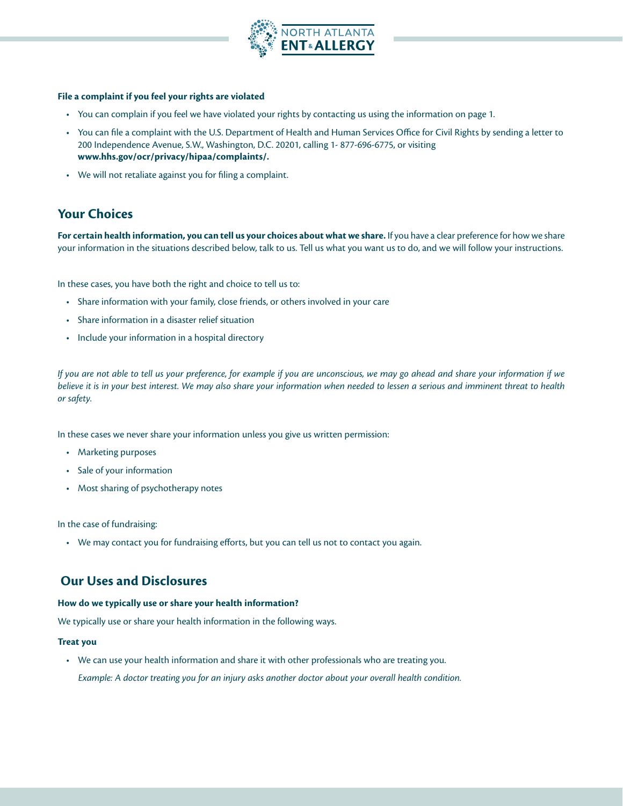

#### **File a complaint if you feel your rights are violated**

- You can complain if you feel we have violated your rights by contacting us using the information on page 1.
- You can file a complaint with the U.S. Department of Health and Human Services Office for Civil Rights by sending a letter to 200 Independence Avenue, S.W., Washington, D.C. 20201, calling 1‐ 877‐696‐6775, or visiting **www.hhs.gov/ocr/privacy/hipaa/complaints/.**
- We will not retaliate against you for filing a complaint.

## **Your Choices**

**For certain health information, you can tell us your choices about what we share.** If you have a clear preference for how we share your information in the situations described below, talk to us. Tell us what you want us to do, and we will follow your instructions.

In these cases, you have both the right and choice to tell us to:

- Share information with your family, close friends, or others involved in your care
- Share information in a disaster relief situation
- Include your information in a hospital directory

*If you are not able to tell us your preference, for example if you are unconscious, we may go ahead and share your information if we believe it is in your best interest. We may also share your information when needed to lessen a serious and imminent threat to health or safety.*

In these cases we never share your information unless you give us written permission:

- Marketing purposes
- Sale of your information
- Most sharing of psychotherapy notes

In the case of fundraising:

• We may contact you for fundraising efforts, but you can tell us not to contact you again.

## **Our Uses and Disclosures**

#### **How do we typically use or share your health information?**

We typically use or share your health information in the following ways.

#### **Treat you**

• We can use your health information and share it with other professionals who are treating you.

*Example: A doctor treating you for an injury asks another doctor about your overall health condition.*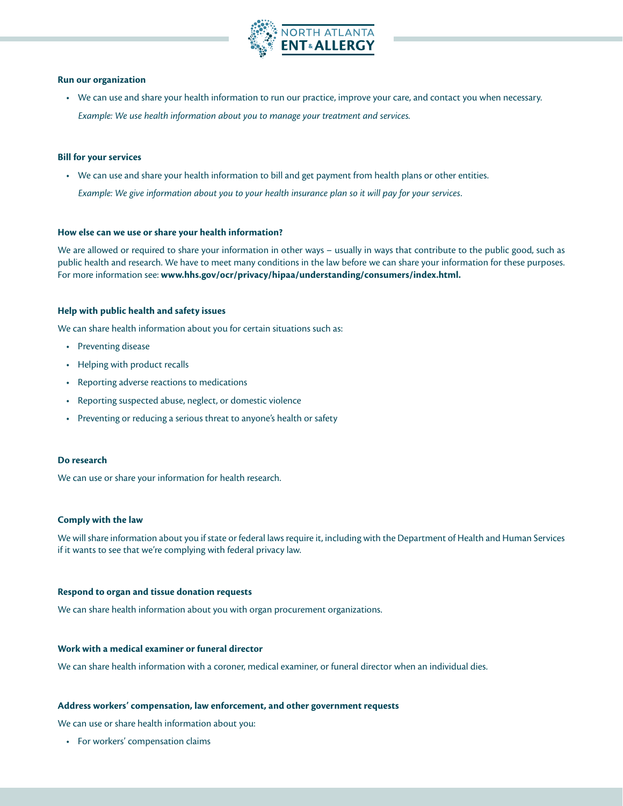

#### **Run our organization**

• We can use and share your health information to run our practice, improve your care, and contact you when necessary. *Example: We use health information about you to manage your treatment and services.*

#### **Bill for your services**

• We can use and share your health information to bill and get payment from health plans or other entities. *Example: We give information about you to your health insurance plan so it will pay for your services*.

#### **How else can we use or share your health information?**

We are allowed or required to share your information in other ways – usually in ways that contribute to the public good, such as public health and research. We have to meet many conditions in the law before we can share your information for these purposes. For more information see: **www.hhs.gov/ocr/privacy/hipaa/understanding/consumers/index.html.**

#### **Help with public health and safety issues**

We can share health information about you for certain situations such as:

- Preventing disease
- Helping with product recalls
- Reporting adverse reactions to medications
- Reporting suspected abuse, neglect, or domestic violence
- Preventing or reducing a serious threat to anyone's health or safety

### **Do research**

We can use or share your information for health research.

#### **Comply with the law**

We will share information about you if state or federal laws require it, including with the Department of Health and Human Services if it wants to see that we're complying with federal privacy law.

#### **Respond to organ and tissue donation requests**

We can share health information about you with organ procurement organizations.

### **Work with a medical examiner or funeral director**

We can share health information with a coroner, medical examiner, or funeral director when an individual dies.

#### **Address workers' compensation, law enforcement, and other government requests**

We can use or share health information about you:

• For workers' compensation claims